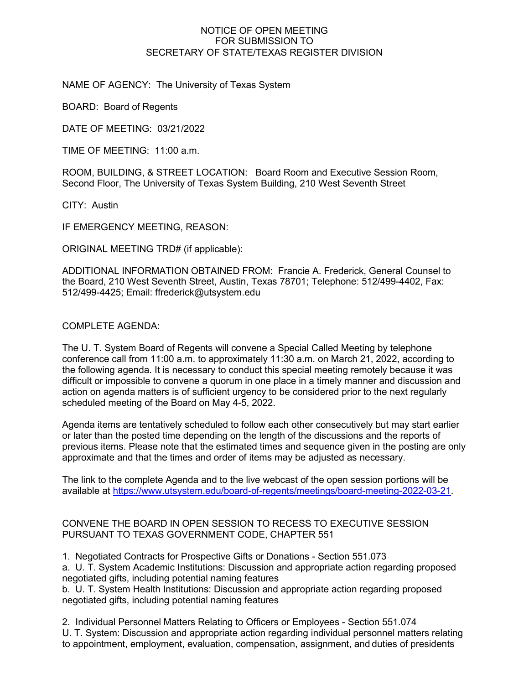## NOTICE OF OPEN MEETING FOR SUBMISSION TO SECRETARY OF STATE/TEXAS REGISTER DIVISION

NAME OF AGENCY: The University of Texas System

BOARD: Board of Regents

DATE OF MEETING: 03/21/2022

TIME OF MEETING: 11:00 a.m.

ROOM, BUILDING, & STREET LOCATION: Board Room and Executive Session Room, Second Floor, The University of Texas System Building, 210 West Seventh Street

CITY: Austin

IF EMERGENCY MEETING, REASON:

ORIGINAL MEETING TRD# (if applicable):

ADDITIONAL INFORMATION OBTAINED FROM: Francie A. Frederick, General Counsel to the Board, 210 West Seventh Street, Austin, Texas 78701; Telephone: 512/499-4402, Fax: 512/499-4425; Email: ffrederick@utsystem.edu

COMPLETE AGENDA:

The U. T. System Board of Regents will convene a Special Called Meeting by telephone conference call from 11:00 a.m. to approximately 11:30 a.m. on March 21, 2022, according to the following agenda. It is necessary to conduct this special meeting remotely because it was difficult or impossible to convene a quorum in one place in a timely manner and discussion and action on agenda matters is of sufficient urgency to be considered prior to the next regularly scheduled meeting of the Board on May 4-5, 2022.

Agenda items are tentatively scheduled to follow each other consecutively but may start earlier or later than the posted time depending on the length of the discussions and the reports of previous items. Please note that the estimated times and sequence given in the posting are only approximate and that the times and order of items may be adjusted as necessary.

The link to the complete Agenda and to the live webcast of the open session portions will be available at [https://www.utsystem.edu/board-of-regents/meetings/board-meeting-2022-03-21.](https://www.utsystem.edu/board-of-regents/meetings/board-meeting-2022-03-21)

## CONVENE THE BOARD IN OPEN SESSION TO RECESS TO EXECUTIVE SESSION PURSUANT TO TEXAS GOVERNMENT CODE, CHAPTER 551

1. Negotiated Contracts for Prospective Gifts or Donations - Section 551.073

a. U. T. System Academic Institutions: Discussion and appropriate action regarding proposed negotiated gifts, including potential naming features

b. U. T. System Health Institutions: Discussion and appropriate action regarding proposed negotiated gifts, including potential naming features

2. Individual Personnel Matters Relating to Officers or Employees - Section 551.074 U. T. System: Discussion and appropriate action regarding individual personnel matters relating to appointment, employment, evaluation, compensation, assignment, and duties of presidents